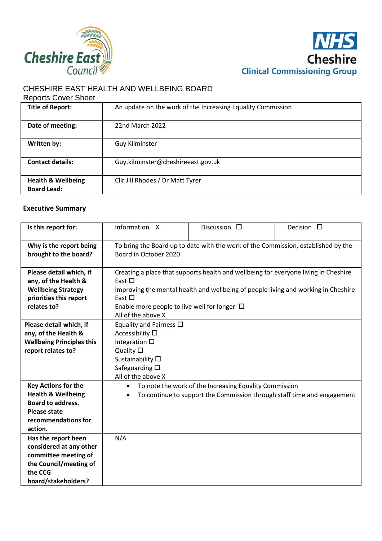



# CHESHIRE EAST HEALTH AND WELLBEING BOARD

#### Reports Cover Sheet

| <b>Title of Report:</b>                             | An update on the work of the Increasing Equality Commission |
|-----------------------------------------------------|-------------------------------------------------------------|
| Date of meeting:                                    | 22nd March 2022                                             |
| Written by:                                         | Guy Kilminster                                              |
| <b>Contact details:</b>                             | Guy.kilminster@cheshireeast.gov.uk                          |
| <b>Health &amp; Wellbeing</b><br><b>Board Lead:</b> | Cllr Jill Rhodes / Dr Matt Tyrer                            |

#### **Executive Summary**

| Is this report for:                                                                                                                              | Information X                                                                                                                                                                                                                                                                      | Discussion $\square$                                                                                                              | Decision $\Box$ |
|--------------------------------------------------------------------------------------------------------------------------------------------------|------------------------------------------------------------------------------------------------------------------------------------------------------------------------------------------------------------------------------------------------------------------------------------|-----------------------------------------------------------------------------------------------------------------------------------|-----------------|
| Why is the report being<br>brought to the board?                                                                                                 | To bring the Board up to date with the work of the Commission, established by the<br>Board in October 2020.                                                                                                                                                                        |                                                                                                                                   |                 |
| Please detail which, if<br>any, of the Health &<br><b>Wellbeing Strategy</b><br>priorities this report<br>relates to?                            | Creating a place that supports health and wellbeing for everyone living in Cheshire<br>East $\Box$<br>Improving the mental health and wellbeing of people living and working in Cheshire<br>East $\Box$<br>Enable more people to live well for longer $\Box$<br>All of the above X |                                                                                                                                   |                 |
| Please detail which, if<br>any, of the Health &<br><b>Wellbeing Principles this</b><br>report relates to?                                        | Equality and Fairness $\Box$<br>Accessibility $\square$<br>Integration $\square$<br>Quality $\square$<br>Sustainability $\square$<br>Safeguarding $\square$<br>All of the above X                                                                                                  |                                                                                                                                   |                 |
| <b>Key Actions for the</b><br><b>Health &amp; Wellbeing</b><br><b>Board to address.</b><br><b>Please state</b><br>recommendations for<br>action. | $\bullet$                                                                                                                                                                                                                                                                          | To note the work of the Increasing Equality Commission<br>To continue to support the Commission through staff time and engagement |                 |
| Has the report been<br>considered at any other<br>committee meeting of<br>the Council/meeting of<br>the CCG<br>board/stakeholders?               | N/A                                                                                                                                                                                                                                                                                |                                                                                                                                   |                 |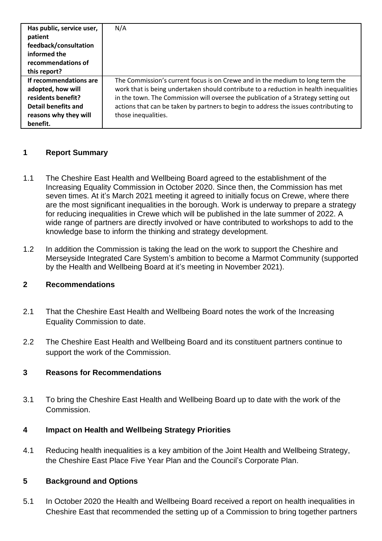| Has public, service user,<br>patient | N/A                                                                                   |
|--------------------------------------|---------------------------------------------------------------------------------------|
| feedback/consultation                |                                                                                       |
| informed the                         |                                                                                       |
| recommendations of                   |                                                                                       |
| this report?                         |                                                                                       |
| If recommendations are               | The Commission's current focus is on Crewe and in the medium to long term the         |
| adopted, how will                    | work that is being undertaken should contribute to a reduction in health inequalities |
| residents benefit?                   | in the town. The Commission will oversee the publication of a Strategy setting out    |
| Detail benefits and                  | actions that can be taken by partners to begin to address the issues contributing to  |
| reasons why they will                | those inequalities.                                                                   |
| benefit.                             |                                                                                       |

#### **1 Report Summary**

- 1.1 The Cheshire East Health and Wellbeing Board agreed to the establishment of the Increasing Equality Commission in October 2020. Since then, the Commission has met seven times. At it's March 2021 meeting it agreed to initially focus on Crewe, where there are the most significant inequalities in the borough. Work is underway to prepare a strategy for reducing inequalities in Crewe which will be published in the late summer of 2022. A wide range of partners are directly involved or have contributed to workshops to add to the knowledge base to inform the thinking and strategy development.
- 1.2 In addition the Commission is taking the lead on the work to support the Cheshire and Merseyside Integrated Care System's ambition to become a Marmot Community (supported by the Health and Wellbeing Board at it's meeting in November 2021).

### **2 Recommendations**

- 2.1 That the Cheshire East Health and Wellbeing Board notes the work of the Increasing Equality Commission to date.
- 2.2 The Cheshire East Health and Wellbeing Board and its constituent partners continue to support the work of the Commission.

#### **3 Reasons for Recommendations**

3.1 To bring the Cheshire East Health and Wellbeing Board up to date with the work of the Commission.

#### **4 Impact on Health and Wellbeing Strategy Priorities**

4.1 Reducing health inequalities is a key ambition of the Joint Health and Wellbeing Strategy, the Cheshire East Place Five Year Plan and the Council's Corporate Plan.

#### **5 Background and Options**

5.1 In October 2020 the Health and Wellbeing Board received a report on health inequalities in Cheshire East that recommended the setting up of a Commission to bring together partners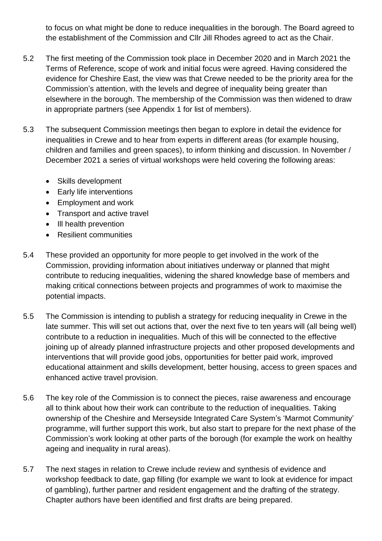to focus on what might be done to reduce inequalities in the borough. The Board agreed to the establishment of the Commission and Cllr Jill Rhodes agreed to act as the Chair.

- 5.2 The first meeting of the Commission took place in December 2020 and in March 2021 the Terms of Reference, scope of work and initial focus were agreed. Having considered the evidence for Cheshire East, the view was that Crewe needed to be the priority area for the Commission's attention, with the levels and degree of inequality being greater than elsewhere in the borough. The membership of the Commission was then widened to draw in appropriate partners (see Appendix 1 for list of members).
- 5.3 The subsequent Commission meetings then began to explore in detail the evidence for inequalities in Crewe and to hear from experts in different areas (for example housing, children and families and green spaces), to inform thinking and discussion. In November / December 2021 a series of virtual workshops were held covering the following areas:
	- Skills development
	- Early life interventions
	- Employment and work
	- Transport and active travel
	- Ill health prevention
	- Resilient communities
- 5.4 These provided an opportunity for more people to get involved in the work of the Commission, providing information about initiatives underway or planned that might contribute to reducing inequalities, widening the shared knowledge base of members and making critical connections between projects and programmes of work to maximise the potential impacts.
- 5.5 The Commission is intending to publish a strategy for reducing inequality in Crewe in the late summer. This will set out actions that, over the next five to ten years will (all being well) contribute to a reduction in inequalities. Much of this will be connected to the effective joining up of already planned infrastructure projects and other proposed developments and interventions that will provide good jobs, opportunities for better paid work, improved educational attainment and skills development, better housing, access to green spaces and enhanced active travel provision.
- 5.6 The key role of the Commission is to connect the pieces, raise awareness and encourage all to think about how their work can contribute to the reduction of inequalities. Taking ownership of the Cheshire and Merseyside Integrated Care System's 'Marmot Community' programme, will further support this work, but also start to prepare for the next phase of the Commission's work looking at other parts of the borough (for example the work on healthy ageing and inequality in rural areas).
- 5.7 The next stages in relation to Crewe include review and synthesis of evidence and workshop feedback to date, gap filling (for example we want to look at evidence for impact of gambling), further partner and resident engagement and the drafting of the strategy. Chapter authors have been identified and first drafts are being prepared.